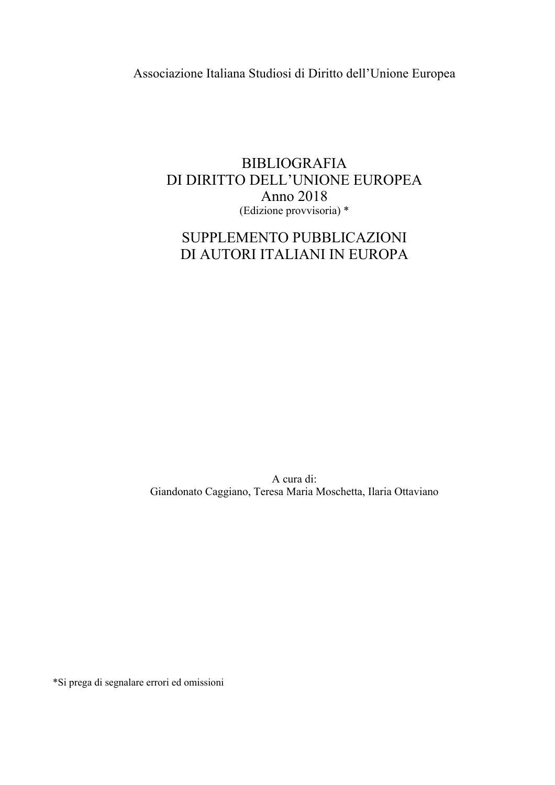Associazione Italiana Studiosi di Diritto dell'Unione Europea

## **BIBLIOGRAFIA** DI DIRITTO DELL'UNIONE EUROPEA Anno 2018 (Edizione provvisoria) \*

# SUPPLEMENTO PUBBLICAZIONI DI AUTORI ITALIANI IN EUROPA

A cura di: Giandonato Caggiano, Teresa Maria Moschetta, Ilaria Ottaviano

\*Si prega di segnalare errori ed omissioni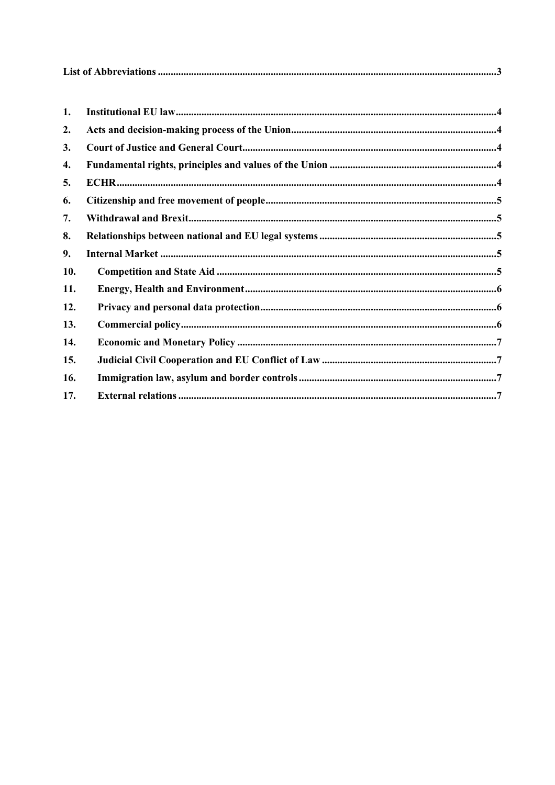| 1.  |  |
|-----|--|
| 2.  |  |
| 3.  |  |
| 4.  |  |
| 5.  |  |
| 6.  |  |
| 7.  |  |
| 8.  |  |
| 9.  |  |
| 10. |  |
| 11. |  |
| 12. |  |
| 13. |  |
| 14. |  |
| 15. |  |
| 16. |  |
| 17. |  |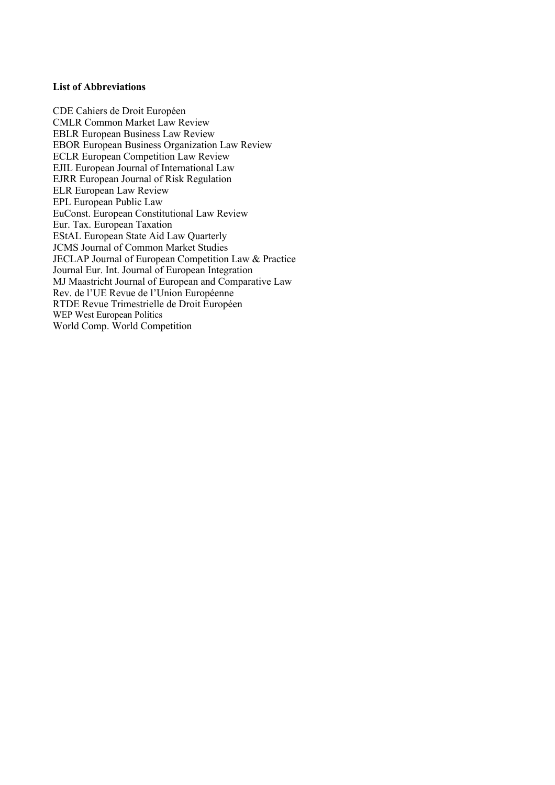## **List of Abbreviations**

CDE Cahiers de Droit Européen CMLR Common Market Law Review EBLR European Business Law Review EBOR European Business Organization Law Review ECLR European Competition Law Review EJIL European Journal of International Law EJRR European Journal of Risk Regulation ELR European Law Review EPL European Public Law EuConst. European Constitutional Law Review Eur. Tax. European Taxation EStAL European State Aid Law Quarterly JCMS Journal of Common Market Studies JECLAP Journal of European Competition Law & Practice Journal Eur. Int. Journal of European Integration MJ Maastricht Journal of European and Comparative Law Rev. de l'UE Revue de l'Union Européenne RTDE Revue Trimestrielle de Droit Européen WEP West European Politics World Comp. World Competition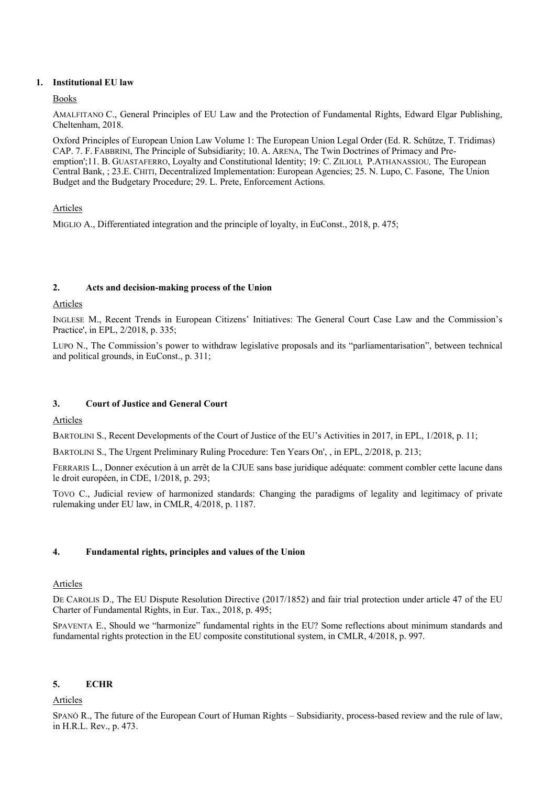#### **1. Institutional EU law**

#### Books

AMALFITANO C., General Principles of EU Law and the Protection of Fundamental Rights, Edward Elgar Publishing, Cheltenham, 2018.

Oxford Principles of European Union Law Volume 1: The European Union Legal Order (Ed. R. Schütze, T. Tridimas) CAP. 7. F. FABBRINI, The Principle of Subsidiarity; 10. A. ARENA, The Twin Doctrines of Primacy and Preemption';11. B. GUASTAFERRO, Loyalty and Constitutional Identity; 19: C. ZILIOLI*,* P.ATHANASSIOU*,* The European Central Bank, ; 23.E. CHITI, Decentralized Implementation: European Agencies; 25. N. Lupo, C. Fasone, The Union Budget and the Budgetary Procedure; 29. L. Prete, Enforcement Actions*.*

#### Articles

MIGLIO A., Differentiated integration and the principle of loyalty, in EuConst., 2018, p. 475;

#### **2. Acts and decision-making process of the Union**

#### Articles

INGLESE M., Recent Trends in European Citizens' Initiatives: The General Court Case Law and the Commission's Practice', in EPL, 2/2018, p. 335;

LUPO N., The Commission's power to withdraw legislative proposals and its "parliamentarisation", between technical and political grounds, in EuConst., p. 311;

## **3. Court of Justice and General Court**

## Articles

BARTOLINI S., Recent Developments of the Court of Justice of the EU's Activities in 2017, in EPL, 1/2018, p. 11;

BARTOLINI S., The Urgent Preliminary Ruling Procedure: Ten Years On', , in EPL, 2/2018, p. 213;

FERRARIS L., Donner exécution à un arrêt de la CJUE sans base juridique adéquate: comment combler cette lacune dans le droit européen, in CDE, 1/2018, p. 293;

TOVO C., Judicial review of harmonized standards: Changing the paradigms of legality and legitimacy of private rulemaking under EU law, in CMLR, 4/2018, p. 1187.

## **4. Fundamental rights, principles and values of the Union**

## **Articles**

DE CAROLIS D., The EU Dispute Resolution Directive (2017/1852) and fair trial protection under article 47 of the EU Charter of Fundamental Rights, in Eur. Tax., 2018, p. 495;

SPAVENTA E., Should we "harmonize" fundamental rights in the EU? Some reflections about minimum standards and fundamental rights protection in the EU composite constitutional system, in CMLR, 4/2018, p. 997.

## **5. ECHR**

#### Articles

SPANÒ R., The future of the European Court of Human Rights – Subsidiarity, process-based review and the rule of law, in H.R.L. Rev., p. 473.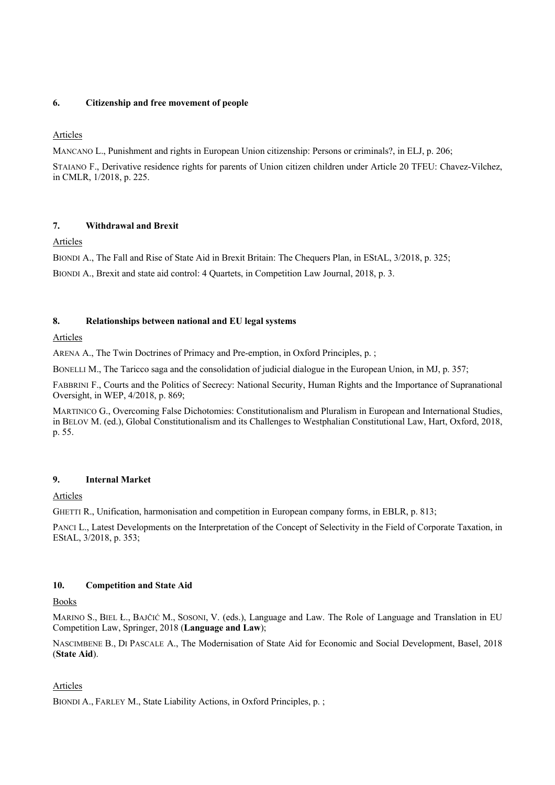#### **6. Citizenship and free movement of people**

## Articles

MANCANO L., Punishment and rights in European Union citizenship: Persons or criminals?, in ELJ, p. 206;

STAIANO F., Derivative residence rights for parents of Union citizen children under Article 20 TFEU: Chavez-Vilchez, in CMLR, 1/2018, p. 225.

## **7. Withdrawal and Brexit**

Articles

BIONDI A., The Fall and Rise of State Aid in Brexit Britain: The Chequers Plan, in EStAL, 3/2018, p. 325;

BIONDI A., Brexit and state aid control: 4 Quartets, in Competition Law Journal, 2018, p. 3.

## **8. Relationships between national and EU legal systems**

Articles

ARENA A., The Twin Doctrines of Primacy and Pre-emption, in Oxford Principles, p. ;

BONELLI M., The Taricco saga and the consolidation of judicial dialogue in the European Union, in MJ, p. 357;

FABBRINI F., Courts and the Politics of Secrecy: National Security, Human Rights and the Importance of Supranational Oversight, in WEP, 4/2018, p. 869;

MARTINICO G., Overcoming False Dichotomies: Constitutionalism and Pluralism in European and International Studies, in BELOV M. (ed.), Global Constitutionalism and its Challenges to Westphalian Constitutional Law, Hart, Oxford, 2018, p. 55.

## **9. Internal Market**

## Articles

GHETTI R., Unification, harmonisation and competition in European company forms, in EBLR, p. 813;

PANCI L., Latest Developments on the Interpretation of the Concept of Selectivity in the Field of Corporate Taxation, in EStAL, 3/2018, p. 353;

## **10. Competition and State Aid**

Books

MARINO S., BIEL Ł., BAJČIĆ M., SOSONI, V. (eds.), Language and Law. The Role of Language and Translation in EU Competition Law, Springer, 2018 (**Language and Law**);

NASCIMBENE B., DI PASCALE A., The Modernisation of State Aid for Economic and Social Development, Basel, 2018 (**State Aid**).

## Articles

BIONDI A., FARLEY M., State Liability Actions, in Oxford Principles, p. ;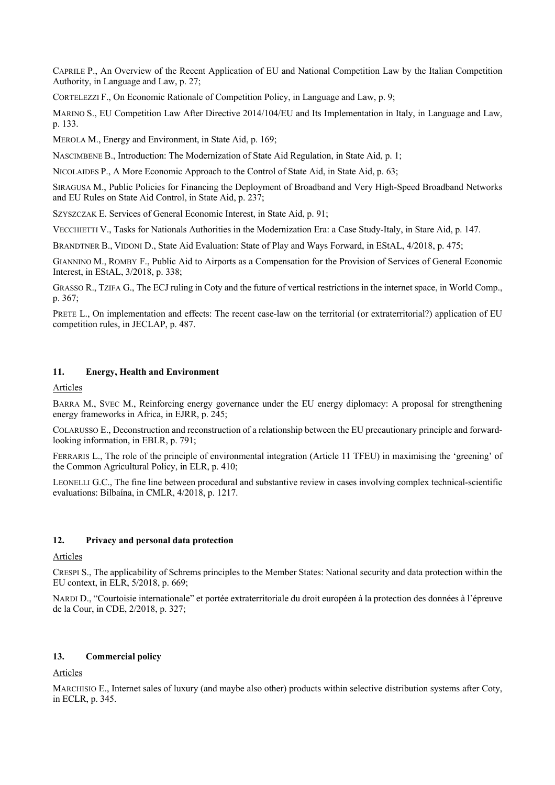CAPRILE P., An Overview of the Recent Application of EU and National Competition Law by the Italian Competition Authority, in Language and Law, p. 27;

CORTELEZZI F., On Economic Rationale of Competition Policy, in Language and Law, p. 9;

MARINO S., EU Competition Law After Directive 2014/104/EU and Its Implementation in Italy, in Language and Law, p. 133.

MEROLA M., Energy and Environment, in State Aid, p. 169;

NASCIMBENE B., Introduction: The Modernization of State Aid Regulation, in State Aid, p. 1;

NICOLAIDES P., A More Economic Approach to the Control of State Aid, in State Aid, p. 63;

SIRAGUSA M., Public Policies for Financing the Deployment of Broadband and Very High-Speed Broadband Networks and EU Rules on State Aid Control, in State Aid, p. 237;

SZYSZCZAK E. Services of General Economic Interest, in State Aid, p. 91;

VECCHIETTI V., Tasks for Nationals Authorities in the Modernization Era: a Case Study-Italy, in Stare Aid, p. 147.

BRANDTNER B., VIDONI D., State Aid Evaluation: State of Play and Ways Forward, in EStAL, 4/2018, p. 475;

GIANNINO M., ROMBY F., Public Aid to Airports as a Compensation for the Provision of Services of General Economic Interest, in EStAL, 3/2018, p. 338;

GRASSO R., TZIFA G., The ECJ ruling in Coty and the future of vertical restrictions in the internet space, in World Comp., p. 367;

PRETE L., On implementation and effects: The recent case-law on the territorial (or extraterritorial?) application of EU competition rules, in JECLAP, p. 487.

#### **11. Energy, Health and Environment**

Articles

BARRA M., SVEC M., Reinforcing energy governance under the EU energy diplomacy: A proposal for strengthening energy frameworks in Africa, in EJRR, p. 245;

COLARUSSO E., Deconstruction and reconstruction of a relationship between the EU precautionary principle and forwardlooking information, in EBLR, p. 791;

FERRARIS L., The role of the principle of environmental integration (Article 11 TFEU) in maximising the 'greening' of the Common Agricultural Policy, in ELR, p. 410;

LEONELLI G.C., The fine line between procedural and substantive review in cases involving complex technical-scientific evaluations: Bilbaína, in CMLR, 4/2018, p. 1217.

#### **12. Privacy and personal data protection**

Articles

CRESPI S., The applicability of Schrems principles to the Member States: National security and data protection within the EU context, in ELR, 5/2018, p. 669;

NARDI D., "Courtoisie internationale" et portée extraterritoriale du droit européen à la protection des données à l'épreuve de la Cour, in CDE, 2/2018, p. 327;

#### **13. Commercial policy**

Articles

MARCHISIO E., Internet sales of luxury (and maybe also other) products within selective distribution systems after Coty, in ECLR, p. 345.